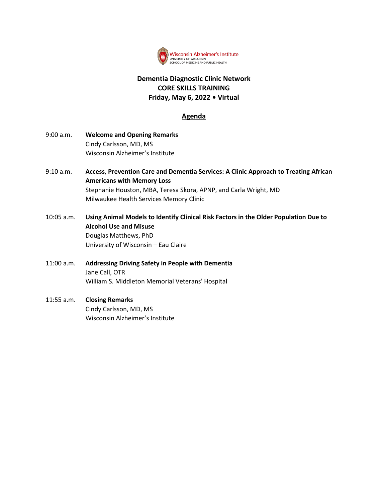

# **Dementia Diagnostic Clinic Network CORE SKILLS TRAINING Friday, May 6, 2022 • Virtual**

### **Agenda**

- 9:00 a.m. **Welcome and Opening Remarks** Cindy Carlsson, MD, MS Wisconsin Alzheimer's Institute
- 9:10 a.m. **Access, Prevention Care and Dementia Services: A Clinic Approach to Treating African Americans with Memory Loss** Stephanie Houston, MBA, Teresa Skora, APNP, and Carla Wright, MD Milwaukee Health Services Memory Clinic
- 10:05 a.m. **Using Animal Models to Identify Clinical Risk Factors in the Older Population Due to Alcohol Use and Misuse** Douglas Matthews, PhD University of Wisconsin – Eau Claire
- 11:00 a.m. **Addressing Driving Safety in People with Dementia** Jane Call, OTR William S. Middleton Memorial Veterans' Hospital
- 11:55 a.m. **Closing Remarks** Cindy Carlsson, MD, MS Wisconsin Alzheimer's Institute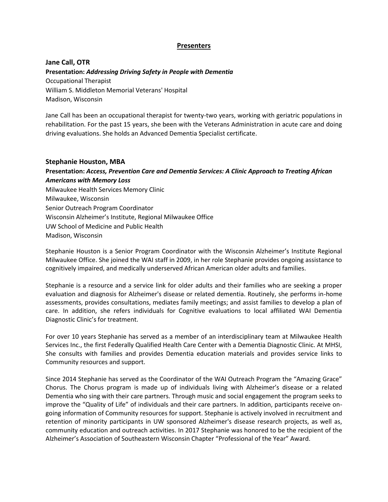### **Presenters**

**Jane Call, OTR Presentation:** *Addressing Driving Safety in People with Dementia* Occupational Therapist William S. Middleton Memorial Veterans' Hospital Madison, Wisconsin

Jane Call has been an occupational therapist for twenty-two years, working with geriatric populations in rehabilitation. For the past 15 years, she been with the Veterans Administration in acute care and doing driving evaluations. She holds an Advanced Dementia Specialist certificate.

#### **Stephanie Houston, MBA**

**Presentation:** *Access, Prevention Care and Dementia Services: A Clinic Approach to Treating African Americans with Memory Loss* Milwaukee Health Services Memory Clinic Milwaukee, Wisconsin Senior Outreach Program Coordinator Wisconsin Alzheimer's Institute, Regional Milwaukee Office UW School of Medicine and Public Health Madison, Wisconsin

Stephanie Houston is a Senior Program Coordinator with the Wisconsin Alzheimer's Institute Regional Milwaukee Office. She joined the WAI staff in 2009, in her role Stephanie provides ongoing assistance to cognitively impaired, and medically underserved African American older adults and families.

Stephanie is a resource and a service link for older adults and their families who are seeking a proper evaluation and diagnosis for Alzheimer's disease or related dementia. Routinely, she performs in-home assessments, provides consultations, mediates family meetings; and assist families to develop a plan of care. In addition, she refers individuals for Cognitive evaluations to local affiliated WAI Dementia Diagnostic Clinic's for treatment.

For over 10 years Stephanie has served as a member of an interdisciplinary team at Milwaukee Health Services Inc., the first Federally Qualified Health Care Center with a Dementia Diagnostic Clinic. At MHSI, She consults with families and provides Dementia education materials and provides service links to Community resources and support.

Since 2014 Stephanie has served as the Coordinator of the WAI Outreach Program the "Amazing Grace" Chorus. The Chorus program is made up of individuals living with Alzheimer's disease or a related Dementia who sing with their care partners. Through music and social engagement the program seeks to improve the "Quality of Life" of individuals and their care partners. In addition, participants receive ongoing information of Community resources for support. Stephanie is actively involved in recruitment and retention of minority participants in UW sponsored Alzheimer's disease research projects, as well as, community education and outreach activities. In 2017 Stephanie was honored to be the recipient of the Alzheimer's Association of Southeastern Wisconsin Chapter "Professional of the Year" Award.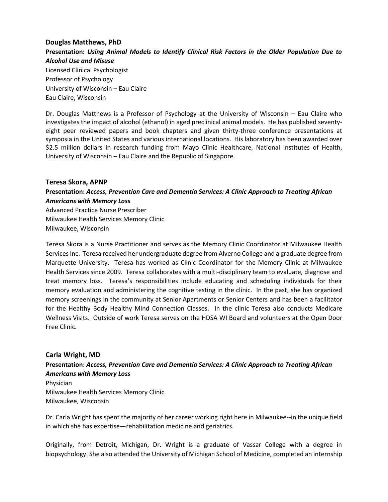#### **Douglas Matthews, PhD**

**Presentation:** *Using Animal Models to Identify Clinical Risk Factors in the Older Population Due to Alcohol Use and Misuse* Licensed Clinical Psychologist Professor of Psychology University of Wisconsin – Eau Claire Eau Claire, Wisconsin

Dr. Douglas Matthews is a Professor of Psychology at the University of Wisconsin – Eau Claire who investigates the impact of alcohol (ethanol) in aged preclinical animal models. He has published seventyeight peer reviewed papers and book chapters and given thirty-three conference presentations at symposia in the United States and various international locations. His laboratory has been awarded over \$2.5 million dollars in research funding from Mayo Clinic Healthcare, National Institutes of Health, University of Wisconsin – Eau Claire and the Republic of Singapore.

#### **Teresa Skora, APNP**

### **Presentation:** *Access, Prevention Care and Dementia Services: A Clinic Approach to Treating African Americans with Memory Loss*

Advanced Practice Nurse Prescriber Milwaukee Health Services Memory Clinic Milwaukee, Wisconsin

Teresa Skora is a Nurse Practitioner and serves as the Memory Clinic Coordinator at Milwaukee Health Services Inc. Teresa received her undergraduate degree from Alverno College and a graduate degree from Marquette University. Teresa has worked as Clinic Coordinator for the Memory Clinic at Milwaukee Health Services since 2009. Teresa collaborates with a multi-disciplinary team to evaluate, diagnose and treat memory loss. Teresa's responsibilities include educating and scheduling individuals for their memory evaluation and administering the cognitive testing in the clinic. In the past, she has organized memory screenings in the community at Senior Apartments or Senior Centers and has been a facilitator for the Healthy Body Healthy Mind Connection Classes. In the clinic Teresa also conducts Medicare Wellness Visits. Outside of work Teresa serves on the HDSA WI Board and volunteers at the Open Door Free Clinic.

#### **Carla Wright, MD**

## **Presentation:** *Access, Prevention Care and Dementia Services: A Clinic Approach to Treating African Americans with Memory Loss*

Physician Milwaukee Health Services Memory Clinic Milwaukee, Wisconsin

Dr. Carla Wright has spent the majority of her career working right here in Milwaukee--in the unique field in which she has expertise—rehabilitation medicine and geriatrics.

Originally, from Detroit, Michigan, Dr. Wright is a graduate of Vassar College with a degree in biopsychology. She also attended the University of Michigan School of Medicine, completed an internship